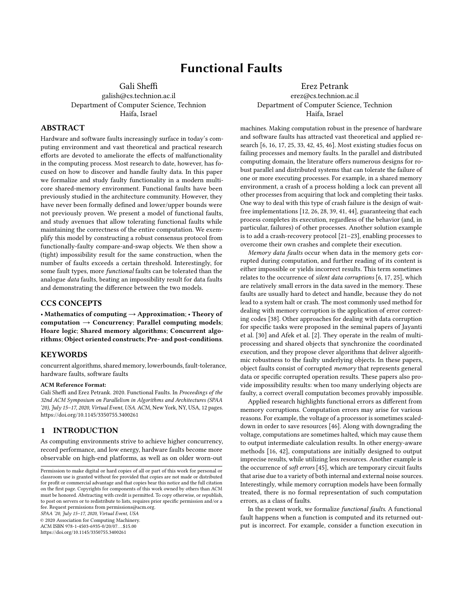# Functional Faults

Gali Sheffi

galish@cs.technion.ac.il Department of Computer Science, Technion Haifa, Israel

# ABSTRACT

Hardware and software faults increasingly surface in today's computing environment and vast theoretical and practical research efforts are devoted to ameliorate the effects of malfunctionality in the computing process. Most research to date, however, has focused on how to discover and handle faulty data. In this paper we formalize and study faulty functionality in a modern multicore shared-memory environment. Functional faults have been previously studied in the architecture community. However, they have never been formally defined and lower/upper bounds were not previously proven. We present a model of functional faults, and study avenues that allow tolerating functional faults while maintaining the correctness of the entire computation. We exemplify this model by constructing a robust consensus protocol from functionally-faulty compare-and-swap objects. We then show a (tight) impossibility result for the same construction, when the number of faults exceeds a certain threshold. Interestingly, for some fault types, more functional faults can be tolerated than the analogue data faults, beating an impossibility result for data faults and demonstrating the difference between the two models.

### CCS CONCEPTS

• Mathematics of computing  $\rightarrow$  Approximation; • Theory of computation  $\rightarrow$  Concurrency; Parallel computing models; Hoare logic; Shared memory algorithms; Concurrent algorithms; Object oriented constructs; Pre- and post-conditions.

#### **KEYWORDS**

concurrent algorithms, shared memory, lowerbounds, fault-tolerance, hardware faults, software faults

#### ACM Reference Format:

Gali Sheffi and Erez Petrank. 2020. Functional Faults. In Proceedings of the 32nd ACM Symposium on Parallelism in Algorithms and Architectures (SPAA '20), July 15-17, 2020, Virtual Event, USA. ACM, New York, NY, USA, [12](#page-11-0) pages. <https://doi.org/10.1145/3350755.3400261>

### 1 INTRODUCTION

As computing environments strive to achieve higher concurrency, record performance, and low energy, hardware faults become more observable on high-end platforms, as well as on older worn-out

SPAA '20, July 15–17, 2020, Virtual Event, USA

© 2020 Association for Computing Machinery.

ACM ISBN 978-1-4503-6935-0/20/07. . . \$15.00 <https://doi.org/10.1145/3350755.3400261>

Erez Petrank erez@cs.technion.ac.il Department of Computer Science, Technion Haifa, Israel

machines. Making computation robust in the presence of hardware and software faults has attracted vast theoretical and applied research [\[6,](#page-10-0) [16,](#page-10-1) [17,](#page-11-1) [25,](#page-11-2) [33,](#page-11-3) [42,](#page-11-4) [45,](#page-11-5) [46\]](#page-11-6). Most existing studies focus on failing processes and memory faults. In the parallel and distributed computing domain, the literature offers numerous designs for robust parallel and distributed systems that can tolerate the failure of one or more executing processes. For example, in a shared memory environment, a crash of a process holding a lock can prevent all other processes from acquiring that lock and completing their tasks. One way to deal with this type of crash failure is the design of waitfree implementations [\[12,](#page-10-2) [26,](#page-11-7) [28,](#page-11-8) [39,](#page-11-9) [41,](#page-11-10) [44\]](#page-11-11), guaranteeing that each process completes its execution, regardless of the behavior (and, in particular, failures) of other processes. Another solution example is to add a crash-recovery protocol [\[21](#page-11-12)[–23\]](#page-11-13), enabling processes to overcome their own crashes and complete their execution.

Memory data faults occur when data in the memory gets corrupted during computation, and further reading of its content is either impossible or yields incorrect results. This term sometimes relates to the occurrence of silent data corruptions [\[6,](#page-10-0) [17,](#page-11-1) [25\]](#page-11-2), which are relatively small errors in the data saved in the memory. These faults are usually hard to detect and handle, because they do not lead to a system halt or crash. The most commonly used method for dealing with memory corruption is the application of error correcting codes [\[38\]](#page-11-14). Other approaches for dealing with data corruption for specific tasks were proposed in the seminal papers of Jayanti et al. [\[30\]](#page-11-15) and Afek et al. [\[2\]](#page-10-3). They operate in the realm of multiprocessing and shared objects that synchronize the coordinated execution, and they propose clever algorithms that deliver algorithmic robustness to the faulty underlying objects. In these papers, object faults consist of corrupted memory that represents general data or specific corrupted operation results. These papers also provide impossibility results: when too many underlying objects are faulty, a correct overall computation becomes provably impossible.

Applied research highlights functional errors as different from memory corruptions. Computation errors may arise for various reasons. For example, the voltage of a processor is sometimes scaleddown in order to save resources [\[46\]](#page-11-6). Along with downgrading the voltage, computations are sometimes halted, which may cause them to output intermediate calculation results. In other energy-aware methods [\[16,](#page-10-1) [42\]](#page-11-4), computations are initially designed to output imprecise results, while utilizing less resources. Another example is the occurrence of soft errors [\[45\]](#page-11-5), which are temporary circuit faults that arise due to a variety of both internal and external noise sources. Interestingly, while memory corruption models have been formally treated, there is no formal representation of such computation errors, as a class of faults.

In the present work, we formalize functional faults. A functional fault happens when a function is computed and its returned output is incorrect. For example, consider a function execution in

Permission to make digital or hard copies of all or part of this work for personal or classroom use is granted without fee provided that copies are not made or distributed for profit or commercial advantage and that copies bear this notice and the full citation on the first page. Copyrights for components of this work owned by others than ACM must be honored. Abstracting with credit is permitted. To copy otherwise, or republish, to post on servers or to redistribute to lists, requires prior specific permission and/or a fee. Request permissions from permissions@acm.org.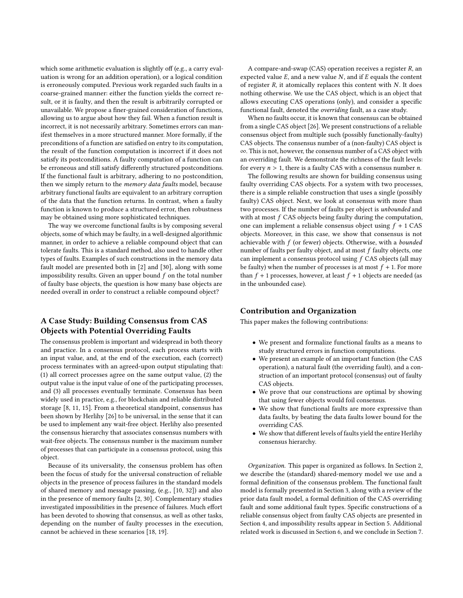which some arithmetic evaluation is slightly off (e.g., a carry evaluation is wrong for an addition operation), or a logical condition is erroneously computed. Previous work regarded such faults in a coarse-grained manner: either the function yields the correct result, or it is faulty, and then the result is arbitrarily corrupted or unavailable. We propose a finer-grained consideration of functions, allowing us to argue about how they fail. When a function result is incorrect, it is not necessarily arbitrary. Sometimes errors can manifest themselves in a more structured manner. More formally, if the preconditions of a function are satisfied on entry to its computation, the result of the function computation is incorrect if it does not satisfy its postconditions. A faulty computation of a function can be erroneous and still satisfy differently structured postconditions. If the functional fault is arbitrary, adhering to no postcondition, then we simply return to the *memory data faults* model, because arbitrary functional faults are equivalent to an arbitrary corruption of the data that the function returns. In contrast, when a faulty function is known to produce a structured error, then robustness may be obtained using more sophisticated techniques.

The way we overcome functional faults is by composing several objects, some of which may be faulty, in a well-designed algorithmic manner, in order to achieve a reliable compound object that can tolerate faults. This is a standard method, also used to handle other types of faults. Examples of such constructions in the memory data fault model are presented both in [\[2\]](#page-10-3) and [\[30\]](#page-11-15), along with some impossibility results. Given an upper bound  $f$  on the total number of faulty base objects, the question is how many base objects are needed overall in order to construct a reliable compound object?

# A Case Study: Building Consensus from CAS Objects with Potential Overriding Faults

The consensus problem is important and widespread in both theory and practice. In a consensus protocol, each process starts with an input value, and, at the end of the execution, each (correct) process terminates with an agreed-upon output stipulating that: (1) all correct processes agree on the same output value, (2) the output value is the input value of one of the participating processes, and (3) all processes eventually terminate. Consensus has been widely used in practice, e.g., for blockchain and reliable distributed storage [\[8,](#page-10-4) [11,](#page-10-5) [15\]](#page-10-6). From a theoretical standpoint, consensus has been shown by Herlihy [\[26\]](#page-11-7) to be universal, in the sense that it can be used to implement any wait-free object. Herlihy also presented the consensus hierarchy that associates consensus numbers with wait-free objects. The consensus number is the maximum number of processes that can participate in a consensus protocol, using this object.

Because of its universality, the consensus problem has often been the focus of study for the universal construction of reliable objects in the presence of process failures in the standard models of shared memory and message passing, (e.g., [\[10,](#page-10-7) [32\]](#page-11-16)) and also in the presence of memory faults [\[2,](#page-10-3) [30\]](#page-11-15). Complementary studies investigated impossibilities in the presence of failures. Much effort has been devoted to showing that consensus, as well as other tasks, depending on the number of faulty processes in the execution, cannot be achieved in these scenarios [\[18,](#page-11-17) [19\]](#page-11-18).

A compare-and-swap (CAS) operation receives a register R, an expected value  $E$ , and a new value  $N$ , and if  $E$  equals the content of register  $R$ , it atomically replaces this content with  $N$ . It does nothing otherwise. We use the CAS object, which is an object that allows executing CAS operations (only), and consider a specific functional fault, denoted the overriding fault, as a case study.

When no faults occur, it is known that consensus can be obtained from a single CAS object [\[26\]](#page-11-7). We present constructions of a reliable consensus object from multiple such (possibly functionally-faulty) CAS objects. The consensus number of a (non-faulty) CAS object is ∞. This is not, however, the consensus number of a CAS object with an overriding fault. We demonstrate the richness of the fault levels: for every  $n > 1$ , there is a faulty CAS with a consensus number *n*.

The following results are shown for building consensus using faulty overriding CAS objects. For a system with two processes, there is a simple reliable construction that uses a single (possibly faulty) CAS object. Next, we look at consensus with more than two processes. If the number of faults per object is unbounded and with at most  $f$  CAS objects being faulty during the computation, one can implement a reliable consensus object using  $f + 1$  CAS objects. Moreover, in this case, we show that consensus is not achievable with  $f$  (or fewer) objects. Otherwise, with a bounded number of faults per faulty object, and at most f faulty objects, one can implement a consensus protocol using f CAS objects (all may be faulty) when the number of processes is at most  $f + 1$ . For more than  $f + 1$  processes, however, at least  $f + 1$  objects are needed (as in the unbounded case).

# Contribution and Organization

This paper makes the following contributions:

- We present and formalize functional faults as a means to study structured errors in function computations.
- We present an example of an important function (the CAS operation), a natural fault (the overriding fault), and a construction of an important protocol (consensus) out of faulty CAS objects.
- We prove that our constructions are optimal by showing that using fewer objects would foil consensus.
- We show that functional faults are more expressive than data faults, by beating the data faults lower bound for the overriding CAS.
- We show that different levels of faults yield the entire Herlihy consensus hierarchy.

Organization. This paper is organized as follows. In Section [2,](#page-2-0) we describe the (standard) shared-memory model we use and a formal definition of the consensus problem. The functional fault model is formally presented in Section [3,](#page-2-1) along with a review of the prior data fault model, a formal definition of the CAS overriding fault and some additional fault types. Specific constructions of a reliable consensus object from faulty CAS objects are presented in Section [4,](#page-4-0) and impossibility results appear in Section [5.](#page-8-0) Additional related work is discussed in Section [6,](#page-10-8) and we conclude in Section [7.](#page-10-9)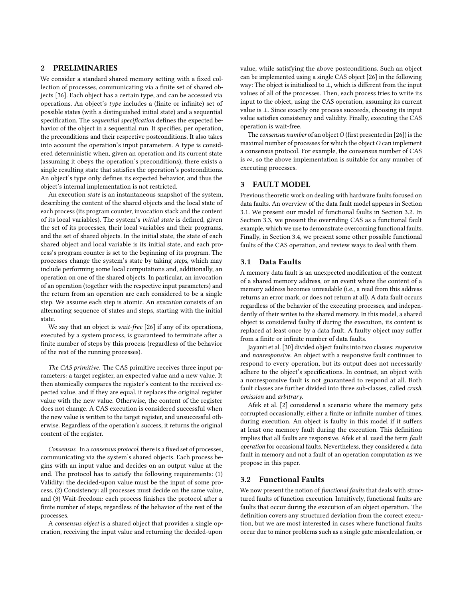# <span id="page-2-0"></span>2 PRELIMINARIES

We consider a standard shared memory setting with a fixed collection of processes, communicating via a finite set of shared objects [\[36\]](#page-11-19). Each object has a certain type, and can be accessed via operations. An object's type includes a (finite or infinite) set of possible states (with a distinguished initial state) and a sequential specification. The sequential specification defines the expected behavior of the object in a sequential run. It specifies, per operation, the preconditions and their respective postconditions. It also takes into account the operation's input parameters. A type is considered deterministic when, given an operation and its current state (assuming it obeys the operation's preconditions), there exists a single resulting state that satisfies the operation's postconditions. An object's type only defines its expected behavior, and thus the object's internal implementation is not restricted.

An execution *state* is an instantaneous snapshot of the system, describing the content of the shared objects and the local state of each process (its program counter, invocation stack and the content of its local variables). The system's initial state is defined, given the set of its processes, their local variables and their programs, and the set of shared objects. In the initial state, the state of each shared object and local variable is its initial state, and each process's program counter is set to the beginning of its program. The processes change the system's state by taking steps, which may include performing some local computations and, additionally, an operation on one of the shared objects. In particular, an invocation of an operation (together with the respective input parameters) and the return from an operation are each considered to be a single step. We assume each step is atomic. An execution consists of an alternating sequence of states and steps, starting with the initial state.

We say that an object is *wait-free* [\[26\]](#page-11-7) if any of its operations, executed by a system process, is guaranteed to terminate after a finite number of steps by this process (regardless of the behavior of the rest of the running processes).

The CAS primitive. The CAS primitive receives three input parameters: a target register, an expected value and a new value. It then atomically compares the register's content to the received expected value, and if they are equal, it replaces the original register value with the new value. Otherwise, the content of the register does not change. A CAS execution is considered successful when the new value is written to the target register, and unsuccessful otherwise. Regardless of the operation's success, it returns the original content of the register.

Consensus. In a consensus protocol, there is a fixed set of processes, communicating via the system's shared objects. Each process begins with an input value and decides on an output value at the end. The protocol has to satisfy the following requirements: (1) Validity: the decided-upon value must be the input of some process, (2) Consistency: all processes must decide on the same value, and (3) Wait-freedom: each process finishes the protocol after a finite number of steps, regardless of the behavior of the rest of the processes.

A consensus object is a shared object that provides a single operation, receiving the input value and returning the decided-upon

value, while satisfying the above postconditions. Such an object can be implemented using a single CAS object [\[26\]](#page-11-7) in the following way: The object is initialized to ⊥, which is different from the input values of all of the processes. Then, each process tries to write its input to the object, using the CAS operation, assuming its current value is ⊥. Since exactly one process succeeds, choosing its input value satisfies consistency and validity. Finally, executing the CAS operation is wait-free.

The consensus number of an object  $O$  (first presented in [\[26\]](#page-11-7)) is the maximal number of processes for which the object  $O$  can implement a consensus protocol. For example, the consensus number of CAS is ∞, so the above implementation is suitable for any number of executing processes.

### <span id="page-2-1"></span>3 FAULT MODEL

Previous theoretic work on dealing with hardware faults focused on data faults. An overview of the data fault model appears in Section [3.1.](#page-2-2) We present our model of functional faults in Section [3.2.](#page-2-3) In Section [3.3,](#page-3-0) we present the overriding CAS as a functional fault example, which we use to demonstrate overcoming functional faults. Finally, in Section [3.4,](#page-4-1) we present some other possible functional faults of the CAS operation, and review ways to deal with them.

# <span id="page-2-2"></span>3.1 Data Faults

A memory data fault is an unexpected modification of the content of a shared memory address, or an event where the content of a memory address becomes unreadable (i.e., a read from this address returns an error mark, or does not return at all). A data fault occurs regardless of the behavior of the executing processes, and independently of their writes to the shared memory. In this model, a shared object is considered faulty if during the execution, its content is replaced at least once by a data fault. A faulty object may suffer from a finite or infinite number of data faults.

Jayanti et al. [\[30\]](#page-11-15) divided object faults into two classes: responsive and nonresponsive. An object with a responsive fault continues to respond to every operation, but its output does not necessarily adhere to the object's specifications. In contrast, an object with a nonresponsive fault is not guaranteed to respond at all. Both fault classes are further divided into three sub-classes, called crash, omission and arbitrary.

Afek et al. [\[2\]](#page-10-3) considered a scenario where the memory gets corrupted occasionally, either a finite or infinite number of times, during execution. An object is faulty in this model if it suffers at least one memory fault during the execution. This definition implies that all faults are responsive. Afek et al. used the term fault operation for occasional faults. Nevertheless, they considered a data fault in memory and not a fault of an operation computation as we propose in this paper.

#### <span id="page-2-3"></span>3.2 Functional Faults

We now present the notion of *functional faults* that deals with structured faults of function execution. Intuitively, functional faults are faults that occur during the execution of an object operation. The definition covers any structured deviation from the correct execution, but we are most interested in cases where functional faults occur due to minor problems such as a single gate miscalculation, or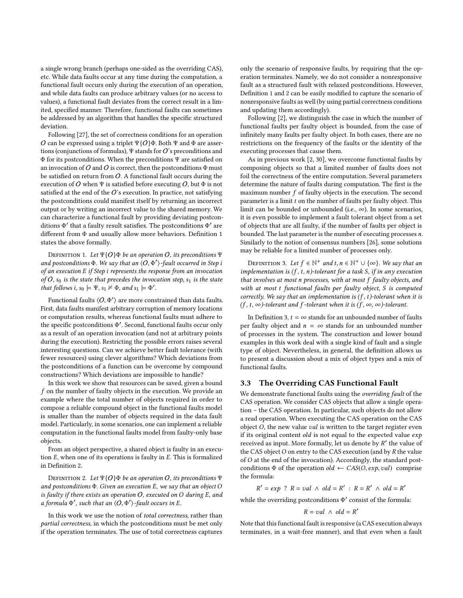a single wrong branch (perhaps one-sided as the overriding CAS), etc. While data faults occur at any time during the computation, a functional fault occurs only during the execution of an operation, and while data faults can produce arbitrary values (or no access to values), a functional fault deviates from the correct result in a limited, specified manner. Therefore, functional faults can sometimes be addressed by an algorithm that handles the specific structured deviation.

Following [\[27\]](#page-11-20), the set of correctness conditions for an operation O can be expressed using a triplet  $\Psi$ {O}Φ. Both Ψ and Φ are assertions (conjunctions of formulas),  $\Psi$  stands for  $O$ 's preconditions and Φ for its postconditions. When the preconditions Ψ are satisfied on an invocation of O and O is correct, then the postconditions  $\Phi$  must be satisfied on return from  $O$ . A functional fault occurs during the execution of O when Ψ is satisfied before executing  $O$ , but  $\Phi$  is not satisfied at the end of the  $O$ 's execution. In practice, not satisfying the postconditions could manifest itself by returning an incorrect output or by writing an incorrect value to the shared memory. We can characterize a functional fault by providing deviating postconditions Φ' that a faulty result satisfies. The postconditions Φ' are<br>different from Φ and usually allow more behaviors. Definition 1 different from Φ and usually allow more behaviors. Definition [1](#page-3-1) states the above formally.

<span id="page-3-1"></span>DEFINITION 1. Let  $\Psi{O} \Phi$  be an operation O, its preconditions  $\Psi$ and postconditions  $\Phi$ . We say that an  $\langle O, \Phi' \rangle$ -fault occurred in Step is an execution E if Step i represents the response from an invocation of an execution E if Step i represents the response from an invocation of O,  $s_0$  is the state that precedes the invocation step,  $s_1$  is the state that follows i,  $s_0 \models \Psi$ ,  $s_1 \not\vDash \Phi$ , and  $s_1 \models \Phi'$ .

Functional faults  $\langle O, \Phi' \rangle$  are more constrained than data faults. First, data faults manifest arbitrary corruption of memory locations or computation results, whereas functional faults must adhere to the specific postconditions  $\Phi'$ . Second, functional faults occur only<br>as a result of an operation invocation (and not at arbitrary points as a result of an operation invocation (and not at arbitrary points during the execution). Restricting the possible errors raises several interesting questions. Can we achieve better fault tolerance (with fewer resources) using clever algorithms? Which deviations from the postconditions of a function can be overcome by compound constructions? Which deviations are impossible to handle?

In this work we show that resources can be saved, given a bound f on the number of faulty objects in the execution. We provide an example where the total number of objects required in order to compose a reliable compound object in the functional faults model is smaller than the number of objects required in the data fault model. Particularly, in some scenarios, one can implement a reliable computation in the functional faults model from faulty-only base objects.

From an object perspective, a shared object is faulty in an execution E, when one of its operations is faulty in E. This is formalized in Definition [2.](#page-3-2)

<span id="page-3-2"></span>DEFINITION 2. Let  $\Psi\{O\} \Phi$  be an operation O, its preconditions  $\Psi$ and postconditions  $\Phi$ . Given an execution E, we say that an object O is faulty if there exists an operation  $O$ , executed on  $O$  during  $E$ , and a formula  $\Phi'$ , such that an  $\langle O, \Phi' \rangle$ -fault occurs in E.

In this work we use the notion of total correctness, rather than partial correctness, in which the postconditions must be met only if the operation terminates. The use of total correctness captures only the scenario of responsive faults, by requiring that the operation terminates. Namely, we do not consider a nonresponsive fault as a structured fault with relaxed postconditions. However, Definition [1](#page-3-1) and [2](#page-3-2) can be easily modified to capture the scenario of nonresponsive faults as well (by using partial correctness conditions and updating them accordingly).

Following [\[2\]](#page-10-3), we distinguish the case in which the number of functional faults per faulty object is bounded, from the case of infinitely many faults per faulty object. In both cases, there are no restrictions on the frequency of the faults or the identity of the executing processes that cause them.

As in previous work [\[2,](#page-10-3) [30\]](#page-11-15), we overcome functional faults by composing objects so that a limited number of faults does not foil the correctness of the entire computation. Several parameters determine the nature of faults during computation. The first is the maximum number f of faulty objects in the execution. The second parameter is a limit t on the number of faults per faulty object. This limit can be bounded or unbounded (i.e.,  $\infty$ ). In some scenarios, it is even possible to implement a fault tolerant object from a set of objects that are all faulty, if the number of faults per object is bounded. The last parameter is the number of executing processes n. Similarly to the notion of consensus numbers [\[26\]](#page-11-7), some solutions may be reliable for a limited number of processes only.

<span id="page-3-3"></span>DEFINITION 3. Let  $f \in \mathbb{N}^+$  and  $t, n \in \mathbb{N}^+ \cup \{\infty\}$ . We say that an obtained in the subset of the problem of  $s$  if in any execution implementation is  $(f, t, n)$ -tolerant for a task S, if in any execution that involves at most n processes, with at most f faulty objects, and with at most t functional faults per faulty object, S is computed correctly. We say that an implementation is  $(f, t)$ -tolerant when it is  $(f, t, \infty)$ -tolerant and f-tolerant when it is  $(f, \infty, \infty)$ -tolerant.

In Definition [3,](#page-3-3)  $t = \infty$  stands for an unbounded number of faults per faulty object and  $n = \infty$  stands for an unbounded number of processes in the system. The construction and lower bound examples in this work deal with a single kind of fault and a single type of object. Nevertheless, in general, the definition allows us to present a discussion about a mix of object types and a mix of functional faults.

### <span id="page-3-0"></span>3.3 The Overriding CAS Functional Fault

We demonstrate functional faults using the overriding fault of the CAS operation. We consider CAS objects that allow a single operation – the CAS operation. In particular, such objects do not allow a read operation. When executing the CAS operation on the CAS object  $O$ , the new value *val* is written to the target register even if its original content  $old$  is not equal to the expected value  $exp$ received as input. More formally, let us denote by  $R'$  the value of<br>the CAS object O on entry to the CAS execution (and by  $R$  the value the CAS object  $O$  on entry to the CAS execution (and by  $R$  the value of O at the end of the invocation). Accordingly, the standard postconditions  $\Phi$  of the operation  $old \leftarrow CAS(O, exp, val)$  comprise the formula:

 $y' = exp \begin{cases} ? & R = val \land old = R' : R = R' \land old = R' \end{cases}$ 

while the overriding postconditions  $\Phi'$  consist of the formula:

$$
R = val \ \land \ old = R'
$$

Note that this functional fault is responsive (a CAS execution always terminates, in a wait-free manner), and that even when a fault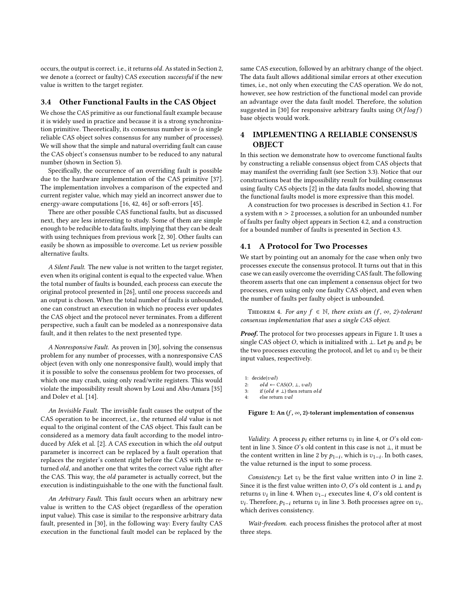occurs, the output is correct. i.e., it returns old. As stated in Section [2,](#page-2-0) we denote a (correct or faulty) CAS execution successful if the new value is written to the target register.

### <span id="page-4-1"></span>3.4 Other Functional Faults in the CAS Object

We chose the CAS primitive as our functional fault example because it is widely used in practice and because it is a strong synchronization primitive. Theoretically, its consensus number is  $\infty$  (a single reliable CAS object solves consensus for any number of processes). We will show that the simple and natural overriding fault can cause the CAS object's consensus number to be reduced to any natural number (shown in Section [5\)](#page-8-0).

Specifically, the occurrence of an overriding fault is possible due to the hardware implementation of the CAS primitive [\[37\]](#page-11-21). The implementation involves a comparison of the expected and current register value, which may yield an incorrect answer due to energy-aware computations [\[16,](#page-10-1) [42,](#page-11-4) [46\]](#page-11-6) or soft-errors [\[45\]](#page-11-5).

There are other possible CAS functional faults, but as discussed next, they are less interesting to study. Some of them are simple enough to be reducible to data faults, implying that they can be dealt with using techniques from previous work [\[2,](#page-10-3) [30\]](#page-11-15). Other faults can easily be shown as impossible to overcome. Let us review possible alternative faults.

A Silent Fault. The new value is not written to the target register, even when its original content is equal to the expected value. When the total number of faults is bounded, each process can execute the original protocol presented in [\[26\]](#page-11-7), until one process succeeds and an output is chosen. When the total number of faults is unbounded, one can construct an execution in which no process ever updates the CAS object and the protocol never terminates. From a different perspective, such a fault can be modeled as a nonresponsive data fault, and it then relates to the next presented type.

A Nonresponsive Fault. As proven in [\[30\]](#page-11-15), solving the consensus problem for any number of processes, with a nonresponsive CAS object (even with only one nonresponsive fault), would imply that it is possible to solve the consensus problem for two processes, of which one may crash, using only read/write registers. This would violate the impossibility result shown by Loui and Abu-Amara [\[35\]](#page-11-22) and Dolev et al. [\[14\]](#page-10-10).

An Invisible Fault. The invisible fault causes the output of the CAS operation to be incorrect, i.e., the returned old value is not equal to the original content of the CAS object. This fault can be considered as a memory data fault according to the model introduced by Afek et al. [\[2\]](#page-10-3). A CAS execution in which the old output parameter is incorrect can be replaced by a fault operation that replaces the register's content right before the CAS with the returned old, and another one that writes the correct value right after the CAS. This way, the old parameter is actually correct, but the execution is indistinguishable to the one with the functional fault.

An Arbitrary Fault. This fault occurs when an arbitrary new value is written to the CAS object (regardless of the operation input value). This case is similar to the responsive arbitrary data fault, presented in [\[30\]](#page-11-15), in the following way: Every faulty CAS execution in the functional fault model can be replaced by the same CAS execution, followed by an arbitrary change of the object. The data fault allows additional similar errors at other execution times, i.e., not only when executing the CAS operation. We do not, however, see how restriction of the functional model can provide an advantage over the data fault model. Therefore, the solution suggested in [\[30\]](#page-11-15) for responsive arbitrary faults using  $O(f \log f)$ base objects would work.

# <span id="page-4-0"></span>4 IMPLEMENTING A RELIABLE CONSENSUS **OBJECT**

In this section we demonstrate how to overcome functional faults by constructing a reliable consensus object from CAS objects that may manifest the overriding fault (see Section [3.3\)](#page-3-0). Notice that our constructions beat the impossibility result for building consensus using faulty CAS objects [\[2\]](#page-10-3) in the data faults model, showing that the functional faults model is more expressive than this model.

A construction for two processes is described in Section [4.1.](#page-4-2) For a system with  $n > 2$  processes, a solution for an unbounded number of faults per faulty object appears in Section [4.2,](#page-5-0) and a construction for a bounded number of faults is presented in Section [4.3.](#page-5-1)

#### <span id="page-4-2"></span>4.1 A Protocol for Two Processes

We start by pointing out an anomaly for the case when only two processes execute the consensus protocol. It turns out that in this case we can easily overcome the overriding CAS fault. The following theorem asserts that one can implement a consensus object for two processes, even using only one faulty CAS object, and even when the number of faults per faulty object is unbounded.

THEOREM 4. For any  $f \in \mathbb{N}$ , there exists an  $(f, \infty, 2)$ -tolerant consensus implementation that uses a single CAS object.

Proof. The protocol for two processes appears in Figure [1.](#page-4-3) It uses a single CAS object O, which is initialized with ⊥. Let  $p_0$  and  $p_1$  be the two processes executing the protocol, and let  $v_0$  and  $v_1$  be their input values, respectively.

<span id="page-4-3"></span>1:  $decide(val)$ 2:  $old \leftarrow CAS(O, \perp, val)$ <br>3: if  $(old \neq \perp)$  then return if (old  $\neq$  ⊥) then return old else return  $val$ 

Figure 1: An  $(f, \infty, 2)$ -tolerant implementation of consensus

Validity. A process  $p_i$  either returns  $v_i$  in line [4,](#page-4-3) or O's old containing  $\frac{3}{2}$  Since O's old contant in this case is not 1, it must be tent in line [3.](#page-4-3) Since O's old content in this case is not <sup>⊥</sup>, it must be the content written in line [2](#page-4-3) by  $p_{1-i}$ , which is  $v_{1-i}$ . In both cases, the value returned is the input to some process the value returned is the input to some process.

Consistency. Let  $v_i$  be the first value written into O in line [2.](#page-4-3) Since it is the first value written into *O*, *O*'s old content is ⊥ and  $p_i$ returns  $v_i$  in line [4.](#page-4-3) When  $v_{1-i}$  executes line [4,](#page-4-3) O's old content is <br>v. Therefore  $v_{1-i}$  returns v. in line 3. Both processes agree on v.  $v_i$ . Therefore,  $p_{1-i}$  returns<br>which derives consistency. . Therefore,  $p_{1-i}$  returns  $v_i$  in line [3.](#page-4-3) Both processes agree on  $v_i$ , hich derives consistency

Wait-freedom. each process finishes the protocol after at most three steps.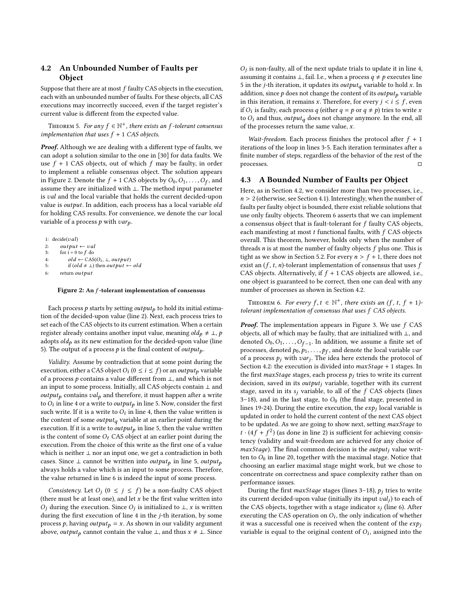# <span id="page-5-0"></span>4.2 An Unbounded Number of Faults per Object

Suppose that there are at most  $f$  faulty CAS objects in the execution, each with an unbounded number of faults. For these objects, all CAS executions may incorrectly succeed, even if the target register's current value is different from the expected value.

THEOREM 5. For any  $f \in \mathbb{N}^+$ , there exists an f-tolerant consensus<br>plementation that uses  $f + 1$  CAS objects implementation that uses  $f + 1$  CAS objects.

**Proof.** Although we are dealing with a different type of faults, we can adopt a solution similar to the one in [\[30\]](#page-11-15) for data faults. We use  $f + 1$  CAS objects, out of which  $f$  may be faulty, in order to implement a reliable consensus object. The solution appears in Figure [2.](#page-5-2) Denote the  $f + 1$  CAS objects by  $O_0, O_1, \ldots, O_f$ , and assume they are initialized with  $\perp$ . The method input parameter assume they are initialized with ⊥. The method input parameter is val and the local variable that holds the current decided-upon value is output. In addition, each process has a local variable old for holding CAS results. For convenience, we denote the var local variable of a process  $p$  with  $var_p$ .

```
1: decide(val)2: output \leftarrow val<br>3: for i = 0 to f do
          for i = 0 to f do
4: old \leftarrow CAS(O_i, \perp, output)<br>5: if (old \neq \perp) then output \leftarrow old6: return output
```
#### Figure 2: An f-tolerant implementation of consensus

Each process  $p$  starts by setting *output*<sub>p</sub> to hold its initial estimation of the decided-upon value (line [2\)](#page-5-2). Next, each process tries to set each of the CAS objects to its current estimation. When a certain register already contains another input value, meaning  $old_p \neq \bot$ , p adopts  $old_p$  as its new estimation for the decided-upon value (line [5\)](#page-5-2). The output of a process  $p$  is the final content of *output*<sub>p</sub>.

Validity. Assume by contradiction that at some point during the execution, either a CAS object  $O_i$  ( $0 \le i \le f$ ) or an *outputp* variable<br>of a process a contains a value different from  $\perp$  and which is not of a process  $p$  contains a value different from  $\bot$ , and which is not an input to some process. Initially, all CAS objects contain ⊥ and *output*<sub>p</sub> contains  $val_p$  and therefore, it must happen after a write to  $\hat{O}_i$  in line [4](#page-5-2) or a write to *output<sub>p</sub>* in line [5.](#page-5-2) Now, consider the first<br>such write If it is a write to  $O_i$  in line 4, then the value written is such write. If it is a write to  $\hat{O}_i$  in line [4,](#page-5-2) then the value written is<br>the content of some *output*, variable at an earlier point during the the content of some *output*<sub>q</sub> variable at an earlier point during the execution. If it is a write to *output*<sub>p</sub> in line [5,](#page-5-2) then the value written is the content of some  $O_t$  CAS object at an earlier point during the execution. From the choice of this write as the first one of a value which is neither ⊥ nor an input one, we get a contradiction in both cases. Since ⊥ cannot be written into *output*<sub>p</sub> in line [5,](#page-5-2) *output*<sub>p</sub> always holds a value which is an input to some process. Therefore, the value returned in line [6](#page-5-2) is indeed the input of some process.

Consistency. Let  $O_j$   $(0 \le j \le f)$  be a non-faulty CAS object<br>ere must be at least one) and let x be the first value written into (there must be at least one), and let  $x$  be the first value written into O<sub>j</sub> during the execution. Since O<sub>j</sub> is initialized to  $\perp$ , x is written during the first execution of line 4 in the *i*-th iteration, by some during the first execution of line [4](#page-5-2) in the j-th iteration, by some process p, having output<sub>p</sub> = x. As shown in our validity argument above, *output<sub>p</sub>* cannot contain the value  $\bot$ , and thus  $x \neq \bot$ . Since

 $O_j$  is non-faulty, all of the next update trials to update it in line [4,](#page-5-2) assuming it contains  $\pm$  foil Le, when a process  $a \pm b$  executes line assuming it contains  $\bot$ , fail. I.e., when a process  $q \neq p$  executes line [5](#page-5-2) in the *j*-th iteration, it updates its *output*<sup>*a*</sup> variable to hold *x*. In addition, since  $p$  does not change the content of its *output*<sub>p</sub> variable in this iteration, it remains x. Therefore, for every  $i < i \leq f$ , even if  $O_i$  is faulty, each process q (either  $q = p$  or  $q \neq p$ ) tries to write x<br>to  $O_i$  and thus quitaut, does not change anymore. In the end, all to  $O_i$  and thus, output<sub>q</sub> does not change anymore. In the end, all of the processes return the same value,  $x$ .

Wait-freedom. Each process finishes the protocol after  $f + 1$ iterations of the loop in lines [3-5.](#page-5-2) Each iteration terminates after a finite number of steps, regardless of the behavior of the rest of the processes. □

#### <span id="page-5-1"></span>4.3 A Bounded Number of Faults per Object

Here, as in Section [4.2,](#page-5-0) we consider more than two processes, i.e.,  $n > 2$  (otherwise, see Section [4.1\)](#page-4-2). Interestingly, when the number of faults per faulty object is bounded, there exist reliable solutions that use only faulty objects. Theorem [6](#page-5-3) asserts that we can implement a consensus object that is fault-tolerant for  $f$  faulty CAS objects, each manifesting at most  $t$  functional faults, with  $f$  CAS objects overall. This theorem, however, holds only when the number of threads  $n$  is at most the number of faulty objects  $f$  plus one. This is tight as we show in Section [5.2.](#page-9-0) For every  $n > f + 1$ , there does not exist an  $(f, t, n)$ -tolerant implementation of consensus that uses  $f$ CAS objects. Alternatively, if  $f + 1$  CAS objects are allowed, i.e., one object is guaranteed to be correct, then one can deal with any number of processes as shown in Section [4.2.](#page-5-0)

<span id="page-5-3"></span>THEOREM 6. For every  $f, t \in \mathbb{N}^+$ , there exists an  $(f, t, f + 1)$ -<br>exant implementation of consensus that uses  $f, CAS$  objects tolerant implementation of consensus that uses f CAS objects.

**Proof.** The implementation appears in Figure [3.](#page-6-0) We use  $f$  CAS objects, all of which may be faulty, that are initialized with ⊥, and denoted  $O_0, O_1, \ldots, O_{f-1}$ . In addition, we assume a finite set of processes denoted  $p_0, p_1, \ldots, p_{f-1}$  and denote the local variable zign processes, denoted  $p_0, p_1, \ldots, p_f$ , and denote the local variable variable variable variable variable variable variable. of a process  $p_j$  with  $var_j$ . The idea here extends the protocol of Section 4.2; the execution is divided into  $maxSizea + 1$  stages. In Section [4.2:](#page-5-0) the execution is divided into  $maxStage + 1$  stages. In the first maxStage stages, each process  $p_i$  tries to write its current decision, saved in its  $output_j$  variable, together with its current stage, saved in its  $s_i$  variable, to all of the  $f$  CAS objects (lines [3–18\)](#page-6-0), and in the last stage, to  $O_0$  (the final stage, presented in lines [19-24\)](#page-6-0). During the entire execution, the  $exp<sub>j</sub>$  local variable is updated in order to hold the current content of the next CAS object to be updated. As we are going to show next, setting maxStaдe to  $t \cdot (4f + f^2)$  (as done in line [2\)](#page-6-0) is sufficient for achieving consistency (validity and wait-freedom are achieved for any choice of tency (validity and wait-freedom are achieved for any choice of  $maxStage$ ). The final common decision is the *output<sub>i</sub>* value written to  $O<sub>0</sub>$  in line [20,](#page-6-0) together with the maximal stage. Notice that choosing an earlier maximal stage might work, but we chose to concentrate on correctness and space complexity rather than on performance issues.

During the first maxStage stages (lines 3-18),  $p_i$  tries to write its current decided-upon value (initially its input  $val_j$ ) to each of<br>the CAS objects, together with a stage indicator  $\epsilon$ ; (line 6), After the CAS objects, together with a stage indicator  $s_j$  (line [6\)](#page-6-0). After executing the CAS operation on  $\Omega$ : the only indication of whether executing the CAS operation on  $O_i$ , the only indication of whether<br>it was a successful one is received when the content of the exp it was a successful one is received when the content of the  $exp<sub>j</sub>$ variable is equal to the original content of  $O_i$ , assigned into the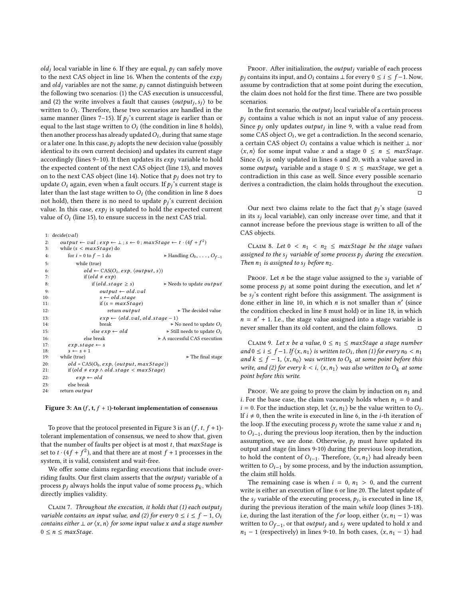*old<sub>j</sub>* local variable in line [6.](#page-6-0) If they are equal,  $p_j$  can safely move to the april  $CAS$  object in line 16. When the contents of the axis to the next CAS object in line [16.](#page-6-0) When the contents of the  $exp<sub>i</sub>$ and  $old<sub>j</sub>$  variables are not the same,  $p<sub>j</sub>$  cannot distinguish between the following two scenarios: (1) the CAS execution is unsuccessful, and (2) the write involves a fault that causes  $\langle output_j, s_j \rangle$  to be written to  $O$ . Therefore, these two scenarios are handled in the written to  $O_i$ . Therefore, these two scenarios are handled in the same manner (lines 7–15). If  $\rho$ ,'s current stage is earlier than or same manner (lines [7–15\)](#page-6-0). If  $p_j$ 's current stage is earlier than or equal to the last stage written to  $\Omega$ . (the condition in line 8 holds) equal to the last stage written to  $O_i$  (the condition in line [8](#page-6-0) holds),<br>then another process has already undated  $O_i$ , during that same stage then another process has already updated  $O_i$ , during that same stage<br>or a later one. In this case,  $\rho_i$  adopts the new decision value (possibly or a later one. In this case,  $p_i$  adopts the new decision value (possibly identical to its own current decision) and updates its current stage accordingly (lines [9–10\)](#page-6-0). It then updates its  $exp<sub>i</sub>$  variable to hold the expected content of the next CAS object (line [13\)](#page-6-0), and moves on to the next CAS object (line [14\)](#page-6-0). Notice that  $p_i$  does not try to update  $O_i$  again, even when a fault occurs. If  $pj^2$ s current stage is later than the last stage written to  $O_i$  (the condition in line [8](#page-6-0) does)<br>not hold), then there is no need to undate  $P_i$ 's current decision not hold), then there is no need to update  $p_j$ 's current decision<br>value. In this case, exp. is updated to hold the expected current value. In this case,  $exp_j$  is updated to hold the expected current<br>value of  $O$ : (line 15), to ensure success in the next  $C$  4S trial value of  $O_i$  (line [15\)](#page-6-0), to ensure success in the next CAS trial.

```
1: decide(val)2: output \leftarrow val; exp \leftarrow \perp; s \leftarrow 0; maxStage \leftarrow t \cdot (4f + f^2)3: while (s < maxStage) do<br>4: for i = 0 to f - 1 do
 4: for i = 0 to f - 1 do \rightarrow Handling O_0, \ldots, O_{f-1}<br>5:
                  while (true)
  6: old \leftarrow CAS(O_i, exp, \langle output, s \rangle)<br>7. if (old \neq exp)7: if \left( old \neq exp \right)8: if (old.shape \ge s) \rightarrow Needs to update output \leftarrow old val
9: output \leftarrow old.val<br>10: s \leftarrow old.state10: s \leftarrow old, stage<br>11: if (s = maxSta)if (s = maxStage)12: return out put \triangleright The decided value
13: \exp \leftarrow \langle old.val, old.state - 1 \rangle<br>14. hreak
14: break \triangleright No need to update O_i<br>15: else exp \leftarrow old \triangleright Still needs to update O_i15: else exp \leftarrow old → Still needs to update O_i<br>16: else break → A successful CAS execution
16: else break \triangleright A successful CAS execution 17: \mathbf{exp}.\mathbf{stage} \leftarrow \mathbf{s}17: exp.\,\text{stage} \leftarrow s<br>18: s \leftarrow s + 118: s \leftarrow s + 1<br>19: while (true)
19: while (true) \triangleright The final stage
20: old = CAS(O_0, exp, \langle output, maxStage \rangle)<br>21: if (old \neq exp \land old, stage < maxStage)21: if (old \neq exp \land old{old}.stage < maxStage)<br>22: exp \leftarrow oldexp \leftarrow old23: else break
24: return output
```
#### Figure 3: An  $(f, t, f + 1)$ -tolerant implementation of consensus

To prove that the protocol presented in Figure [3](#page-6-0) is an  $(f, t, f + 1)$ tolerant implementation of consensus, we need to show that, given that the number of faults per object is at most  $t$ , that maxStage is set to  $t \cdot (4f + f^2)$ , and that there are at most  $f + 1$  processes in the system it is valid consistent and wait-free system, it is valid, consistent and wait-free.

We offer some claims regarding executions that include overriding faults. Our first claim asserts that the *output<sub>i</sub>* variable of a process  $p_j$  always holds the input value of some process  $p_k$ , which directly implies validity. directly implies validity.

<span id="page-6-3"></span>CLAIM 7. Throughout the execution, it holds that  $(1)$  each output; variable contains an input value, and (2) for every  $0 \le i \le f - 1$ ,  $O_i$ contains either  $\perp$  or  $\langle x, n \rangle$  for some input value x and a stage number  $0 \leq n \leq maxStage$ .

PROOF. After initialization, the *output<sub>i</sub>* variable of each process  $p_i$  contains its input, and  $O_i$  contains  $\perp$  for every  $0 \le i \le f-1$ . Now, assume by contradiction that at some point during the execution, the claim does not hold for the first time. There are two possible scenarios.

In the first scenario, the *output<sub>j</sub>* local variable of a certain process<br>contains a value which is not an input value of any process  $p_i$  contains a value which is not an input value of any process. Since  $p_j$  only updates *output<sub>j</sub>* in line [9,](#page-6-0) with a value read from some CAS object O: we get a contradiction. In the second scenario. some CAS object  $O_i$ , we get a contradiction. In the second scenario, a certain CAS object  $O_i$  contains a value which is neither  $\perp$  por a certain CAS object  $O_i$  contains a value which is neither  $\perp$  nor  $\langle x, n \rangle$  for some input value x and a stage  $0 \leq n \leq \textit{maxStage}$ . Since  $Q_i$  is only updated in lines [6](#page-6-0) and [20,](#page-6-0) with a value saved in some *output*, variable and a stage  $0 \le n \le maxStage$  we get a some *output<sub>k</sub>* variable and a stage  $0 \le n \le \text{maxStage}$ , we get a contradiction in this case as well. Since every possible scenario derives a contradiction, the claim holds throughout the execution. □

Our next two claims relate to the fact that  $p_j$ 's stage (saved<br>its subcol variable), can only increase over time and that it in its  $s_j$  local variable), can only increase over time, and that it cannot increase before the previous stage is written to all of the cannot increase before the previous stage is written to all of the CAS objects.

<span id="page-6-2"></span>CLAIM 8. Let  $0 < n_1 < n_2 \leq$  maxStage be the stage values assigned to the  $s_i$  variable of some process  $p_i$  during the execution. Then  $n_1$  is assigned to  $s_i$  before  $n_2$ .

PROOF. Let *n* be the stage value assigned to the  $s_i$  variable of some process  $p_j$  at some point during the execution, and let n'<br>he see content right before this assignment. The assignment is be  $s_j$ 's content right before this assignment. The assignment is<br>done either in line 10 in which *n* is not smaller than  $n'$  (since done either in line [10,](#page-6-0) in which *n* is not smaller than  $n'$  (since the condition checked in line 8 must hold) or in line 18 in which the condition checked in line [8](#page-6-0) must hold) or in line [18,](#page-6-0) in which  $n = n' + 1$ . I.e., the stage value assigned into a stage variable is never smaller than its old content, and the claim follows never smaller than its old content, and the claim follows.  $\qquad \Box$ 

<span id="page-6-1"></span>CLAIM 9. Let x be a value,  $0 \le n_1 \le \text{maxStage}$  a stage number and  $0 \le i \le f-1$ . If  $\langle x, n_1 \rangle$  is written to  $O_i$ , then (1) for every  $n_0 < n_1$ <br>and  $k \le f-1$   $\langle x, n_0 \rangle$  was written to  $O_i$ , at some point hefore this and  $k \le f - 1$ ,  $\langle x, n_0 \rangle$  was written to  $O_k$  at some point before this write, and (2) for every  $k < i$ ,  $\langle x, n_1 \rangle$  was also written to  $O_k$  at some point before this write.

PROOF. We are going to prove the claim by induction on  $n_1$  and *i*. For the base case, the claim vacuously holds when  $n_1 = 0$  and  $i = 0$ . For the induction step, let  $\langle x, n_1 \rangle$  be the value written to  $O_i$ .<br>If  $i \neq 0$  then the write is executed in line 6 in the *i*-th iteration of If  $i \neq 0$ , then the write is executed in line [6,](#page-6-0) in the *i*-th iteration of the loop. If the executing process  $p_i$  wrote the same value x and  $n_1$ to  $O_{i-1}$ , during the previous loop iteration, then by the induction assumption, we are done. Otherwise,  $p_i$  must have updated its output and stage (in lines [9-10\)](#page-6-0) during the previous loop iteration, to hold the content of  $O_{i-1}$ . Therefore,  $\langle x, n_1 \rangle$  had already been written to  $O_{i-1}$  by some process, and by the induction assumption, the claim still holds.

The remaining case is when  $i = 0$ ,  $n_1 > 0$ , and the current write is either an execution of line [6](#page-6-0) or line [20.](#page-6-0) The latest update of the s<sub>j</sub> variable of the executing process,  $p_j$ , is executed in line [18,](#page-6-0) during the previous iteration of the main while loop (lines 3-18) during the previous iteration of the main while loop (lines [3-18\)](#page-6-0). i.e, during the last iteration of the *for* loop, either  $\langle x, n_1 - 1 \rangle$  was written to  $O_{f-1}$ , or that *output<sub>j</sub>* and s<sub>j</sub> were updated to hold x and  $n_i = 1$  (respectively) in lines 0-10. In both cases  $(x, n_i = 1)$  had  $n_1$  − 1 (respectively) in lines [9-10.](#page-6-0) In both cases,  $\langle x, n_1 - 1 \rangle$  had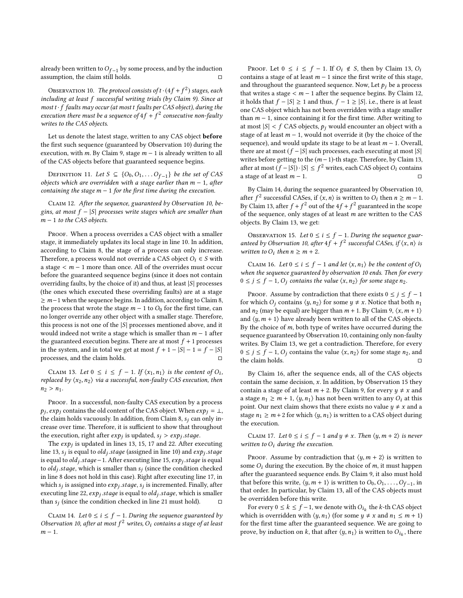already been written to  $O_{f-1}$  by some process, and by the induction assumption, the claim still holds.  $□$ assumption, the claim still holds.

<span id="page-7-0"></span>OBSERVATION 10. The protocol consists of  $t \cdot (4f + f^2)$  stages, each buding at least f, successful writing trials (by Claim 9). Since at including at least f successful writing trials (by Claim [9\)](#page-6-1). Since at most  $t \cdot f$  faults may occur (at most  $t$  faults per CAS object), during the execution there must be a sequence of  $4f + f^2$  consecutive non-faulty<br>writes to the CAS objects writes to the CAS objects.

Let us denote the latest stage, written to any CAS object before the first such sequence (guaranteed by Observation [10\)](#page-7-0) during the execution, with m. By Claim [9,](#page-6-1) stage  $m - 1$  is already written to all of the CAS objects before that guaranteed sequence begins.

DEFINITION 11. Let  $S \subseteq \{O_0, O_1, \ldots O_{f-1}\}$  be the set of CAS objects which are overridden with a stage earlier than  $m - 1$ , after containing the stage  $m - 1$  for the first time during the execution.

<span id="page-7-2"></span>Claim 12. After the sequence, guaranteed by Observation [10,](#page-7-0) begins, at most  $f - |S|$  processes write stages which are smaller than  $m - 1$  to the CAS objects.

PROOF. When a process overrides a CAS object with a smaller stage, it immediately updates its local stage in line [10.](#page-6-0) In addition, according to Claim [8,](#page-6-2) the stage of a process can only increase. Therefore, a process would not override a CAS object  $O_i \in S$  with a stage < m <sup>−</sup> <sup>1</sup> more than once. All of the overrides must occur before the guaranteed sequence begins (since it does not contain overriding faults, by the choice of it) and thus, at least  $|S|$  processes (the ones which executed these overriding faults) are at a stage  $\geq m-1$  when the sequence begins. In addition, according to Claim [8,](#page-6-2) the process that wrote the stage  $m - 1$  to  $O_0$  for the first time, can no longer override any other object with a smaller stage. Therefore, this process is not one of the  $|S|$  processes mentioned above, and it would indeed not write a stage which is smaller than  $m - 1$  after the guaranteed execution begins. There are at most  $f + 1$  processes in the system, and in total we get at most  $f + 1 - |S| - 1 = f - |S|$ processes, and the claim holds.

<span id="page-7-1"></span>CLAIM 13. Let  $0 \le i \le f - 1$ . If  $\langle x_1, n_1 \rangle$  is the content of  $O_i$ ,<br>placed by  $\langle x_2, n_2 \rangle$  yie a successful non-faulty CAS execution, then replaced by  $\langle x_2, n_2 \rangle$  via a successful, non-faulty CAS execution, then  $n_2 > n_1$ .

PROOF. In a successful, non-faulty CAS execution by a process  $p_j$ ,  $exp_j$  contains the old content of the CAS object. When  $exp_j = \perp$ , the claim holds vacuously. In addition, from Claim 8, see on only in-the claim holds vacuously. In addition, from Claim [8,](#page-6-2)  $s_i$  can only increase over time. Therefore, it is sufficient to show that throughout the execution, right after  $exp_j$  is updated,  $s_j > exp_j$ . stage.<br>The exp; is updated in lines 13, 15, 17 and 22. After exp

The  $exp_j$  is updated in lines [13, 15, 17](#page-6-0) and [22.](#page-6-0) After executing<br>a 13, s; is equal to ald: stage (assigned in line 10) and exp; stage line [13,](#page-6-0) s<sub>j</sub> is equal to *old<sub>j</sub>*. *stage* (assigned in line [10\)](#page-6-0) and *exp* is equal to *old*; *stage* = 1. After executing line 15, exp; stage is  $\frac{1}{100}$  is equal to old  $j$ .stage−1. After executing line [15,](#page-6-0)  $exp_j$ .stage is equal to old  $j$ .stage = 1. After executing line 15,  $exp_j$ .stage is equal to  $old_j$  stage, which is smaller than  $s_j$  (since the condition checked<br>in line 8 does not hold in this case). Bight ofter executing line 17, in in line [8](#page-6-0) does not hold in this case). Right after executing line [17,](#page-6-0) in which  $s_j$  is assigned into  $exp_j$ , stage,  $s_j$  is incremented. Finally, after executing line 22, exp. stage is equal to old, stage which is smaller executing line [22,](#page-6-0)  $exp_j$ , stage is equal to *old<sub>j</sub>*, stage, which is smaller than  $s_j$  (since the condition checked in line [21](#page-6-0) must hold).  $\Box$ 

<span id="page-7-3"></span>CLAIM 14. Let  $0 \le i \le f - 1$ . During the sequence guaranteed by Observation [10,](#page-7-0) after at most  $f^2$  writes,  $O_i$  contains a stage of at least  $m-1$  $m-1$ .

PROOF. Let  $0 \le i \le f - 1$ . If  $O_i \notin S$ , then by Claim [13,](#page-7-1)  $O_i$ contains a stage of at least  $m - 1$  since the first write of this stage, and throughout the guaranteed sequence. Now, Let  $p_i$  be a process that writes a stage  $\lt m$  − 1 after the sequence begins. By Claim [12,](#page-7-2) it holds that  $f - |S| \ge 1$  and thus,  $f - 1 \ge |S|$ . i.e., there is at least one CAS object which has not been overridden with a stage smaller than  $m - 1$ , since containing it for the first time. After writing to at most  $|S| < f$  CAS objects,  $p_i$  would encounter an object with a stage of at least  $m - 1$ , would not override it (by the choice of the sequence), and would update its stage to be at least  $m - 1$ . Overall, there are at most  $(f - |S|)$  such processes, each executing at most  $|S|$ writes before getting to the  $(m - 1)$ -th stage. Therefore, by Claim [13,](#page-7-1) after at most  $(f-|S|) \cdot |S| \leq f^2$  writes, each CAS object  $O_i$  contains a stage of at least  $m - 1$ . □

By Claim [14,](#page-7-3) during the sequence guaranteed by Observation [10,](#page-7-0) after  $f^2$  successful CASes, if  $\langle x, n \rangle$  is written to  $O_i$  then  $n \ge m - 1$ .<br>By Claim 13, after  $f + f^2$  out of the  $4f + f^2$  succeptively in the scope By Claim [13,](#page-7-1) after  $f + f^2$  out of the  $4f + f^2$  guaranteed in the scope<br>of the sequence only stages of at least m are written to the CAS of the sequence, only stages of at least m are written to the CAS objects. By Claim [13,](#page-7-1) we get:

<span id="page-7-5"></span>OBSERVATION 15. Let  $0 \le i \le f - 1$ . During the sequence guar-anteed by Observation [10,](#page-7-0) after  $4f + f^2$  successful CASes, if  $\langle x, n \rangle$  is<br>written to O: then  $n > m + 2$ written to  $O_i$  then  $n \ge m + 2$ .

<span id="page-7-4"></span>CLAIM 16. Let  $0 \le i \le f - 1$  and let  $\langle x, n_1 \rangle$  be the content of  $O_i$ when the sequence guaranteed by observation [10](#page-7-0) ends. Then for every  $0 \le j \le f - 1$ ,  $O_j$  contains the value  $\langle x, n_2 \rangle$  for some stage  $n_2$ .

PROOF. Assume by contradiction that there exists  $0 \le j \le f - 1$ for which  $O_i$  contains  $\langle y, n_2 \rangle$  for some  $y \neq x$ . Notice that both  $n_1$ and  $n_2$  (may be equal) are bigger than  $m + 1$ . By Claim [9,](#page-6-1)  $\langle x, m+1 \rangle$ and  $\langle y, m + 1 \rangle$  have already been written to all of the CAS objects. By the choice of  $m$ , both type of writes have occurred during the sequence guaranteed by Observation [10,](#page-7-0) containing only non-faulty writes. By Claim [13,](#page-7-1) we get a contradiction. Therefore, for every  $0 \le j \le f - 1$ ,  $O_j$  contains the value  $\langle x, n_2 \rangle$  for some stage  $n_2$ , and the claim holds.

By Claim [16,](#page-7-4) after the sequence ends, all of the CAS objects contain the same decision,  $x$ . In addition, by Observation [15](#page-7-5) they contain a stage of at least  $m + 2$ . By Claim [9,](#page-6-1) for every  $y \neq x$  and a stage  $n_1 \ge m + 1$ ,  $\langle y, n_1 \rangle$  has not been written to any  $O_i$  at this point. Our next claim shows that there exists no value  $y \neq x$  and a stage  $n_1 \ge m + 2$  for which  $\langle y, n_1 \rangle$  is written to a CAS object during the execution.

<span id="page-7-6"></span>CLAIM 17. Let  $0 \le i \le f - 1$  and  $y \ne x$ . Then  $\langle y, m + 2 \rangle$  is never written to  $O_i$  during the execution.

PROOF. Assume by contradiction that  $\langle y, m+2 \rangle$  is written to some  $O_i$  during the execution. By the choice of m, it must happen after the guaranteed sequence ends. By Claim [9,](#page-6-1) it also must hold that before this write,  $\langle y, m+1 \rangle$  is written to  $O_0, O_1, \ldots, O_{f-1}$ , in that order In particular, by Claim 13, all of the CAS objects must that order. In particular, by Claim [13,](#page-7-1) all of the CAS objects must be overridden before this write.

For every  $0 \le k \le f - 1$ , we denote with  $O_{i_k}$  the k-th CAS object<br>ich is overridden with  $\langle u, u \rangle$  (for some  $u \neq x$  and  $n_k \le m + 1$ ) which is overridden with  $\langle y, n_1 \rangle$  (for some  $y \neq x$  and  $n_1 \leq m + 1$ ) for the first time after the guaranteed sequence. We are going to prove, by induction on  $k$ , that after  $\langle y, n_1 \rangle$  is written to  $O_{i_k}$ , there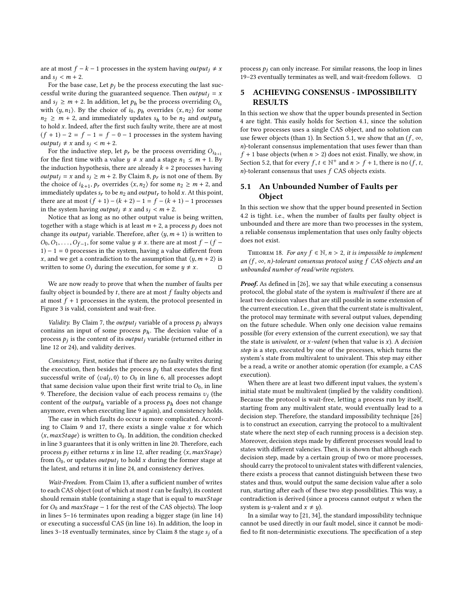are at most  $f - k - 1$  processes in the system having *output*<sub>i</sub>  $\neq$  *x* and  $s_i < m + 2$ .

For the base case, Let  $p_i$  be the process executing the last successful write during the guaranteed sequence. Then *output*  $i = x$ and  $s_i \ge m + 2$ . In addition, let  $p_h$  be the process overriding  $O_{i_0}$ with  $\langle y, n_1 \rangle$ . By the choice of  $i_0$ ,  $p_h$  overrides  $\langle x, n_2 \rangle$  for some  $n_2 \geq m + 2$ , and immediately updates  $s_h$  to be  $n_2$  and output<sub>h</sub> to hold  $x$ . Indeed, after the first such faulty write, there are at most  $(f + 1) - 2 = f - 1 = f - 0 - 1$  processes in the system having *output<sub>i</sub>*  $\neq$  *x* and *s<sub>i</sub>*  $\lt$  *m* + 2.

For the inductive step, let  $p_r$  be the process overriding  $O_{i_{k+1}}$ for the first time with a value  $y \neq x$  and a stage  $n_1 \leq m + 1$ . By the induction hypothesis, there are already  $k + 2$  processes having *output*<sub>j</sub> = x and  $s_j \ge m + 2$ . By Claim [8,](#page-6-2)  $p_r$  is not one of them. By the choice of  $i_{k+1}$ ,  $p_r$  overrides  $\langle x, n_2 \rangle$  for some  $n_2 \ge m+2$ , and<br>immediately undates s, to be no and quitaut, to hold x. At this point immediately updates  $s_r$  to be  $n_2$  and output<sub>r</sub> to hold x. At this point, there are at most  $(f + 1) - (k + 2) - 1 = f - (k + 1) - 1$  processes in the system having *output<sub>i</sub>*  $\neq$  *x* and *s<sub>i</sub>* < *m* + 2.

Notice that as long as no other output value is being written, together with a stage which is at least  $m + 2$ , a process  $p_i$  does not change its *output<sub>i</sub>* variable. Therefore, after  $\langle y, m+1 \rangle$  is written to  $O_0, O_1, \ldots, O_{f-1}$ , for some value  $y \neq x$ , there are at most  $f - (f - 1) - 1 = 0$  processes in the system baying a value different from  $1) - 1 = 0$  processes in the system, having a value different from x, and we get a contradiction to the assumption that  $\langle y, m+2 \rangle$  is written to some  $O_i$  during the execution, for some  $y \neq x$ .

We are now ready to prove that when the number of faults per faulty object is bounded by  $t$ , there are at most  $f$  faulty objects and at most  $f + 1$  processes in the system, the protocol presented in Figure [3](#page-6-0) is valid, consistent and wait-free.

Validity. By Claim [7,](#page-6-3) the output; variable of a process  $p_i$  always contains an input of some process  $p<sub>h</sub>$ . The decision value of a process  $p_j$  is the content of its *output<sub>j</sub>* variable (returned either in line [12](#page-6-0) or [24\)](#page-6-0), and validity derives.

Consistency. First, notice that if there are no faulty writes during the execution, then besides the process  $p_j$  that executes the first successful write of  $\langle val_j, 0 \rangle$  to  $\overline{O_0}$  in line [6,](#page-6-0) all processes adopt<br>that same decision value upon their first write trial to  $O_0$  in line that same decision value upon their first write trial to  $O<sub>0</sub>$ , in line [9.](#page-6-0) Therefore, the decision value of each process remains  $v_j$  (the content of the quitaut, variable of a process  $v_j$  does not change content of the *output*<sub>h</sub> variable of a process  $p_h$  does not change anymore, even when executing line [9](#page-6-0) again), and consistency holds.

The case in which faults do occur is more complicated. Accord-ing to Claim [9](#page-6-1) and [17,](#page-7-6) there exists a single value  $x$  for which  $\langle x, maxStage \rangle$  is written to  $O_0$ . In addition, the condition checked in line [3](#page-6-0) guarantees that it is only written in line [20.](#page-6-0) Therefore, each process  $p_i$  either returns x in line [12,](#page-6-0) after reading  $\langle x, maxStage \rangle$ from  $O_0$ , or updates *output<sub>i</sub>* to hold x during the former stage at the latest, and returns it in line [24,](#page-6-0) and consistency derives.

Wait-Freedom. From Claim [13,](#page-7-1) after a sufficient number of writes to each CAS object (out of which at most  $t$  can be faulty), its content should remain stable (containing a stage that is equal to maxStage for  $O_0$  and  $maxStage - 1$  for the rest of the CAS objects). The loop in lines [5–16](#page-6-0) terminates upon reading a bigger stage (in line [14\)](#page-6-0) or executing a successful CAS (in line [16\)](#page-6-0). In addition, the loop in lines 3-18 eventually terminates, since by Claim [8](#page-6-2) the stage  $s_i$  of a process  $p_i$  can only increase. For similar reasons, the loop in lines [19–23](#page-6-0) eventually terminates as well, and wait-freedom follows. □

# <span id="page-8-0"></span>5 ACHIEVING CONSENSUS - IMPOSSIBILITY RESULTS

In this section we show that the upper bounds presented in Section [4](#page-4-0) are tight. This easily holds for Section [4.1,](#page-4-2) since the solution for two processes uses a single CAS object, and no solution can use fewer objects (than 1). In Section [5.1,](#page-8-1) we show that an  $(f, \infty)$ , n)-tolerant consensus implementation that uses fewer than than  $f + 1$  base objects (when  $n > 2$ ) does not exist. Finally, we show, in Section [5.2,](#page-9-0) that for every  $f, t \in \mathbb{N}^+$  and  $n > f + 1$ , there is no  $(f, t, n)$ -tolerant consensus that uses  $f \cap A S$  objects exists  $n$ )-tolerant consensus that uses  $f$  CAS objects exists.

# <span id="page-8-1"></span>5.1 An Unbounded Number of Faults per Object

In this section we show that the upper bound presented in Section [4.2](#page-5-0) is tight. i.e., when the number of faults per faulty object is unbounded and there are more than two processes in the system, a reliable consensus implementation that uses only faulty objects does not exist.

THEOREM 18. For any  $f \in \mathbb{N}$ ,  $n > 2$ , it is impossible to implement an (f,  $\infty$ , n)-tolerant consensus protocol using f CAS objects and an unbounded number of read/write registers.

Proof. As defined in [\[26\]](#page-11-7), we say that while executing a consensus protocol, the global state of the system is multivalent if there are at least two decision values that are still possible in some extension of the current execution. I.e., given that the current state is multivalent, the protocol may terminate with several output values, depending on the future schedule. When only one decision value remains possible (for every extension of the current execution), we say that the state is *univalent*, or  $x$ -valent (when that value is  $x$ ). A decision step is a step, executed by one of the processes, which turns the system's state from multivalent to univalent. This step may either be a read, a write or another atomic operation (for example, a CAS execution).

When there are at least two different input values, the system's initial state must be multivalent (implied by the validity condition). Because the protocol is wait-free, letting a process run by itself, starting from any multivalent state, would eventually lead to a decision step. Therefore, the standard impossibility technique [\[26\]](#page-11-7) is to construct an execution, carrying the protocol to a multivalent state where the next step of each running process is a decision step. Moreover, decision steps made by different processes would lead to states with different valencies. Then, it is shown that although each decision step, made by a certain group of two or more processes, should carry the protocol to univalent states with different valencies, there exists a process that cannot distinguish between these two states and thus, would output the same decision value after a solo run, starting after each of these two step possibilities. This way, a contradiction is derived (since a process cannot output  $x$  when the system is *y*-valent and  $x \neq y$ ).

In a similar way to [\[21,](#page-11-12) [34\]](#page-11-23), the standard impossibility technique cannot be used directly in our fault model, since it cannot be modified to fit non-deterministic executions. The specification of a step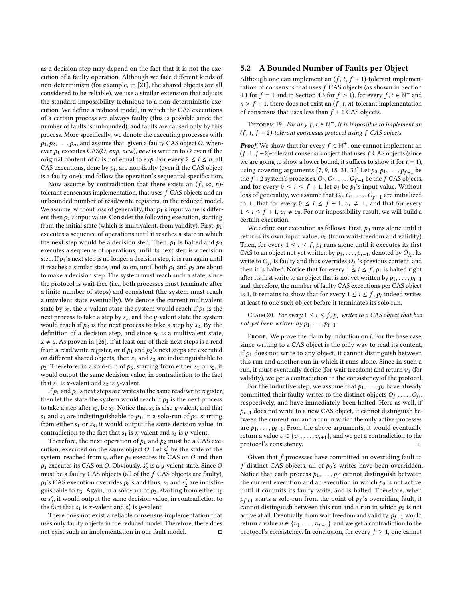as a decision step may depend on the fact that it is not the execution of a faulty operation. Although we face different kinds of non-determinism (for example, in [\[21\]](#page-11-12), the shared objects are all considered to be reliable), we use a similar extension that adjusts the standard impossibility technique to a non-deterministic execution. We define a reduced model, in which the CAS executions of a certain process are always faulty (this is possible since the number of faults is unbounded), and faults are caused only by this process. More specifically, we denote the executing processes with  $p_1, p_2, \ldots, p_n$ , and assume that, given a faulty CAS object O, whenever  $p_1$  executes CAS(O, exp, new), new is written to O even if the original content of O is not equal to  $exp$ . For every  $2 \le i \le n$ , all CAS executions, done by  $p_i$ , are non-faulty (even if the CAS object<br>is a faulty one), and follow the operation's sequential specification is a faulty one), and follow the operation's sequential specification.

Now assume by contradiction that there exists an  $(f, \infty, n)$ tolerant consensus implementation, that uses f CAS objects and an unbounded number of read/write registers, in the reduced model. We assume, without loss of generality, that  $p_1$ 's input value is different then  $p_2$ 's input value. Consider the following execution, starting from the initial state (which is multivalent, from validity). First,  $p_1$ executes a sequence of operations until it reaches a state in which the next step would be a decision step. Then,  $p_1$  is halted and  $p_2$ executes a sequence of operations, until its next step is a decision step. If  $p_1$ 's next step is no longer a decision step, it is run again until it reaches a similar state, and so on, until both  $p_1$  and  $p_2$  are about to make a decision step. The system must reach such a state, since the protocol is wait-free (i.e., both processes must terminate after a finite number of steps) and consistent (the system must reach a univalent state eventually). We denote the current multivalent state by  $s_0$ , the x-valent state the system would reach if  $p_1$  is the next process to take a step by  $s_1$ , and the *y*-valent state the system would reach if  $p_2$  is the next process to take a step by  $s_2$ . By the definition of a decision step, and since  $s_0$  is a multivalent state,  $x \neq y$ . As proven in [\[26\]](#page-11-7), if at least one of their next steps is a read from a read/write register, or if  $p_1$  and  $p_2$ 's next steps are executed on different shared objects, then  $s_1$  and  $s_2$  are indistinguishable to  $p_3$ . Therefore, in a solo-run of  $p_3$ , starting from either  $s_1$  or  $s_2$ , it would output the same decision value, in contradiction to the fact that  $s_1$  is x-valent and  $s_2$  is y-valent.

If  $p_1$  and  $p_2$ 's next steps are writes to the same read/write register, then let the state the system would reach if  $p_1$  is the next process to take a step after  $s_2$ , be  $s_3$ . Notice that  $s_3$  is also y-valent, and that  $s_1$  and  $s_3$  are indistinguishable to  $p_3$ . In a solo-run of  $p_3$ , starting from either  $s_1$  or  $s_3$ , it would output the same decision value, in contradiction to the fact that  $s_1$  is x-valent and  $s_3$  is y-valent.

Therefore, the next operation of  $p_1$  and  $p_2$  must be a CAS execution, executed on the same object O. Let  $s'_2$  be the state of the system reached from  $s_2$  after  $b_2$  executes its CAS on O and then system, reached from  $s_0$  after  $p_2$  executes its CAS on O and then  $p_1$  executes its CAS on O. Obviously,  $s'_2$  is a y-valent state. Since O<br>must be a faulty CAS objects (all of the f.CAS objects are faulty) must be a faulty CAS objects (all of the f CAS objects are faulty),  $p_1$ 's CAS execution overrides  $p_2$ 's and thus,  $s_1$  and  $s_2'$  are indistinguished to  $r_2$ . Again, in a solo-run of  $r_2$ , tarting from either set guishable to  $p_3$ . Again, in a solo-run of  $p_3$ , starting from either  $s_1$ or  $s'_2$ , it would output the same decision value, in contradiction to<br>the fact that  $s_i$  is x-valent and  $s'$  is *u*-valent. the fact that  $s_1$  is x-valent and  $s'_2$  is y-valent.<br>There does not exist a reliable consensus

There does not exist a reliable consensus implementation that uses only faulty objects in the reduced model. Therefore, there does not exist such an implementation in our fault model.  $\hfill \Box$ 

### <span id="page-9-0"></span>5.2 A Bounded Number of Faults per Object

Although one can implement an  $(f, t, f + 1)$ -tolerant implementation of consensus that uses  $f$  CAS objects (as shown in Section [4.1](#page-4-2) for  $f = 1$  and in Section [4.3](#page-5-1) for  $f > 1$ ), for every  $f, t \in \mathbb{N}^+$  and  $n > f + 1$ , there does not exist an  $(f, t, n)$ -tolerant implementation  $n > f + 1$ , there does not exist an  $(f, t, n)$ -tolerant implementation of consensus that uses less than  $f + 1$  CAS objects.

THEOREM 19. For any  $f, t \in \mathbb{N}^+$ , it is impossible to implement an  $t, t+2$ , tolerant consensus protocol using  $f, CAS$  objects  $(f, t, f + 2)$ -tolerant consensus protocol using  $f$  CAS objects.

**Proof.** We show that for every  $f \in \mathbb{N}^+$ , one cannot implement an  $(f \mid f+2)$ -tolerant consensus object that uses  $f \cap A$ S objects (since  $(f, 1, f+2)$ -tolerant consensus object that uses  $f$  CAS objects (since we are going to show a lower bound, it suffices to show it for  $t = 1$ ), using covering arguments [\[7,](#page-10-11) [9,](#page-10-12) [18,](#page-11-17) [31,](#page-11-24) [36\]](#page-11-19). Let  $p_0, p_1, \ldots, p_{f+1}$  be the  $\bar{f}$  +2 system's processes,  $O_0, O_1, \ldots, O_{f-1}$  be the  $f$  CAS objects, and for every  $0 \le i \le f + 1$ , let  $v_i$  be  $p_i$ 's input value. Without loss of generality we assume that  $O_2$ ,  $O_3$ , are initialized loss of generality, we assume that  $O_0, O_1, \ldots, O_{f-1}$  are initialized to ⊥, that for every  $0 \le i \le f + 1$ ,  $v_i \neq \bot$ , and that for every  $1 \leq i \leq f + 1$ ,  $v_i \neq v_0$ . For our impossibility result, we will build a certain execution.

We define our execution as follows: First,  $p_0$  runs alone until it returns its own input value,  $v_0$  (from wait-freedom and validity). Then, for every  $1 \le i \le f$ ,  $p_i$  runs alone until it executes its first CAS to an object not yet written by  $p_1, \ldots, p_{i-1}$ , denoted by  $O_{j_i}$ . Its<br>write to  $O_i$ , is foulty and thus overrides  $O_i$ , is previous content, and write to  $O_{j_i}$  is faulty and thus overrides  $O_{j_i}$ 's previous content, and then it is halted. Notice that for every  $1 \le i \le f$ , n. is halted right then it is halted. Notice that for every  $1 \le i \le f$ ,  $p_i$  is halted right<br>ofter its first write to an object that is not vet written by  $p_i$ after its first write to an object that is not yet written by  $p_1, \ldots, p_{i-1}$ and, therefore, the number of faulty CAS executions per CAS object is 1. It remains to show that for every  $1 \le i \le f$ ,  $p_i$  indeed writes at least to one such object before it terminates its solo run at least to one such object before it terminates its solo run.

CLAIM 20. For every  $1 \le i \le f$ ,  $p_i$  writes to a CAS object that has not yet been written by  $p_1, \ldots, p_{i-1}$ .

PROOF. We prove the claim by induction on  $i$ . For the base case, since writing to a CAS object is the only way to read its content, if  $p_1$  does not write to any object, it cannot distinguish between this run and another run in which it runs alone. Since in such a run, it must eventually decide (for wait-freedom) and return  $v_1$  (for validity), we get a contradiction to the consistency of the protocol.

For the inductive step, we assume that  $p_1, \ldots, p_i$  have already committed their faulty writes to the distinct objects  $O_{j_1}, \ldots, O_{j_t}$ , respectively and have immediately been halted. Here as well if respectively, and have immediately been halted. Here as well, if  $p_{i+1}$  does not write to a new CAS object, it cannot distinguish between the current run and a run in which the only active processes are  $p_1, \ldots, p_{i+1}$ . From the above arguments, it would eventually return a value  $v \in \{v_1, \ldots, v_{i+1}\}$ , and we get a contradiction to the protocol's consistency. protocol's consistency.

Given that  $f$  processes have committed an overriding fault to f distinct CAS objects, all of  $p_0$ 's writes have been overridden. Notice that each process  $p_1, \ldots, p_f$  cannot distinguish between<br>the current execution and an execution in which  $p_2$  is not active the current execution and an execution in which  $p_0$  is not active, until it commits its faulty write, and is halted. Therefore, when  $p_{f+1}$  starts a solo-run from the point of  $p_f$ 's overriding fault, it cannot distinguish between this run and a run in which to is not cannot distinguish between this run and a run in which  $p_0$  is not active at all. Eventually, from wait freedom and validity,  $p_{f+1}$  would return a value  $v \in \{v_1, \ldots, v_{f+1}\}$ , and we get a contradiction to the protocol's consistency. In conclusion, for every  $f > 1$  one cannot protocol's consistency. In conclusion, for every  $f \geq 1$ , one cannot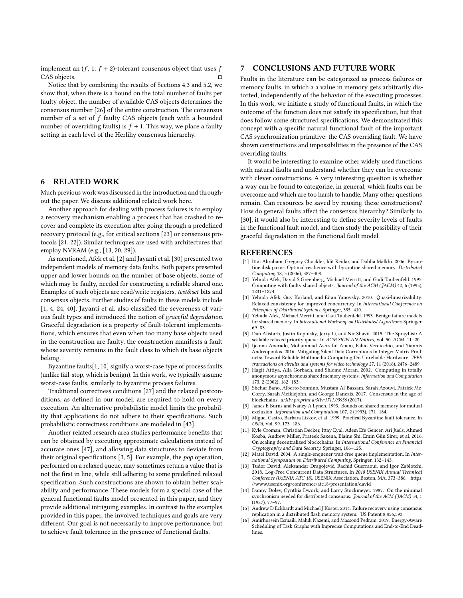implement an  $(f, 1, f + 2)$ -tolerant consensus object that uses  $f$ <br>CAS objects CAS objects.

Notice that by combining the results of Sections [4.3](#page-5-1) and [5.2,](#page-9-0) we show that, when there is a bound on the total number of faults per faulty object, the number of available CAS objects determines the consensus number [\[26\]](#page-11-7) of the entire construction. The consensus number of a set of f faulty CAS objects (each with a bounded number of overriding faults) is  $f + 1$ . This way, we place a faulty setting in each level of the Herlihy consensus hierarchy.

### <span id="page-10-8"></span>6 RELATED WORK

Much previous work was discussed in the introduction and throughout the paper. We discuss additional related work here.

Another approach for dealing with process failures is to employ a recovery mechanism enabling a process that has crashed to recover and complete its execution after going through a predefined recovery protocol (e.g., for critical sections [\[23\]](#page-11-13) or consensus protocols [\[21,](#page-11-12) [22\]](#page-11-25)). Similar techniques are used with architectures that employ NVRAM (e.g., [\[13,](#page-10-13) [20,](#page-11-26) [29\]](#page-11-27)).

As mentioned, Afek et al. [\[2\]](#page-10-3) and Jayanti et al. [\[30\]](#page-11-15) presented two independent models of memory data faults. Both papers presented upper and lower bounds on the number of base objects, some of which may be faulty, needed for constructing a reliable shared one. Examples of such objects are read/write registers, test&set bits and consensus objects. Further studies of faults in these models include [\[1,](#page-10-14) [4,](#page-10-15) [24,](#page-11-28) [40\]](#page-11-29). Jayanti et al. also classified the severeness of various fault types and introduced the notion of graceful degradation. Graceful degradation is a property of fault-tolerant implementations, which ensures that even when too many base objects used in the construction are faulty, the construction manifests a fault whose severity remains in the fault class to which its base objects belong.

Byzantine faults[\[1,](#page-10-14) [10\]](#page-10-7) signify a worst-case type of process faults (unlike fail-stop, which is benign). In this work, we typically assume worst-case faults, similarly to byzantine process failures.

Traditional correctness conditions [\[27\]](#page-11-20) and the relaxed postconditions, as defined in our model, are required to hold on every execution. An alternative probabilistic model limits the probability that applications do not adhere to their specifications. Such probabilistic correctness conditions are modeled in [\[43\]](#page-11-30).

Another related research area studies performance benefits that can be obtained by executing approximate calculations instead of accurate ones [\[47\]](#page-11-31), and allowing data structures to deviate from their original specifications [\[3,](#page-10-16) [5\]](#page-10-17). For example, the pop operation, performed on a relaxed queue, may sometimes return a value that is not the first in line, while still adhering to some predefined relaxed specification. Such constructions are shown to obtain better scalability and performance. These models form a special case of the general functional faults model presented in this paper, and they provide additional intriguing examples. In contrast to the examples provided in this paper, the involved techniques and goals are very different. Our goal is not necessarily to improve performance, but to achieve fault tolerance in the presence of functional faults.

### <span id="page-10-9"></span>7 CONCLUSIONS AND FUTURE WORK

Faults in the literature can be categorized as process failures or memory faults, in which a a value in memory gets arbitrarily distorted, independently of the behavior of the executing processes. In this work, we initiate a study of functional faults, in which the outcome of the function does not satisfy its specification, but that does follow some structured specifications. We demonstrated this concept with a specific natural functional fault of the important CAS synchronization primitive: the CAS overriding fault. We have shown constructions and impossibilities in the presence of the CAS overriding faults.

It would be interesting to examine other widely used functions with natural faults and understand whether they can be overcome with clever constructions. A very interesting question is whether a way can be found to categorize, in general, which faults can be overcome and which are too harsh to handle. Many other questions remain. Can resources be saved by reusing these constructions? How do general faults affect the consensus hierarchy? Similarly to [\[30\]](#page-11-15), it would also be interesting to define severity levels of faults in the functional fault model, and then study the possibility of their graceful degradation in the functional fault model.

#### REFERENCES

- <span id="page-10-14"></span>[1] Ittai Abraham, Gregory Chockler, Idit Keidar, and Dahlia Malkhi. 2006. Byzantine disk paxos: Optimal resilience with byzantine shared memory. Distributed Computing 18, 5 (2006), 387–408.
- <span id="page-10-3"></span>[2] Yehuda Afek, David S Greenberg, Michael Merritt, and Gadi Taubenfeld. 1995. Computing with faulty shared objects. Journal of the ACM (JACM) 42, 6 (1995). 1231–1274.
- <span id="page-10-16"></span>[3] Yehuda Afek, Guy Korland, and Eitan Yanovsky. 2010. Quasi-linearizability: Relaxed consistency for improved concurrency. In International Conference on Principles of Distributed Systems. Springer, 395–410.
- <span id="page-10-15"></span>[4] Yehuda Afek, Michael Merritt, and Gadi Taubenfeld. 1993. Benign failure models for shared memory. In International Workshop on Distributed Algorithms. Springer, 69–83.
- <span id="page-10-17"></span>[5] Dan Alistarh, Justin Kopinsky, Jerry Li, and Nir Shavit. 2015. The SprayList: A scalable relaxed priority queue. In ACM SIGPLAN Notices, Vol. 50. ACM, 11-20.
- <span id="page-10-0"></span>[6] Ijeoma Anarado, Mohammad Ashraful Anam, Fabio Verdicchio, and Yiannis Andreopoulos. 2016. Mitigating Silent Data Corruptions In Integer Matrix Products: Toward Reliable Multimedia Computing On Unreliable Hardware. IEEE transactions on circuits and systems for video technology 27, 11 (2016), 2476–2489.
- <span id="page-10-11"></span>[7] Hagit Attiya, Alla Gorbach, and Shlomo Moran. 2002. Computing in totally anonymous asynchronous shared memory systems. Information and Computation 173, 2 (2002), 162–183.
- <span id="page-10-4"></span>[8] Shehar Bano, Alberto Sonnino, Mustafa Al-Bassam, Sarah Azouvi, Patrick Mc-Corry, Sarah Meiklejohn, and George Danezis. 2017. Consensus in the age of blockchains. arXiv preprint arXiv:1711.03936 (2017).
- <span id="page-10-12"></span>[9] James E Burns and Nancy A Lynch. 1993. Bounds on shared memory for mutual exclusion. Information and Computation 107, 2 (1993), 171–184.
- <span id="page-10-7"></span>[10] Miguel Castro, Barbara Liskov, et al. 1999. Practical Byzantine fault tolerance. In OSDI, Vol. 99. 173–186.
- <span id="page-10-5"></span>[11] Kyle Croman, Christian Decker, Ittay Eyal, Adem Efe Gencer, Ari Juels, Ahmed Kosba, Andrew Miller, Prateek Saxena, Elaine Shi, Emin Gün Sirer, et al. 2016. On scaling decentralized blockchains. In International Conference on Financial Cryptography and Data Security. Springer, 106–125.
- <span id="page-10-2"></span>[12] Matei David. 2004. A single-enqueuer wait-free queue implementation. In International Symposium on Distributed Computing. Springer, 132–143.
- <span id="page-10-13"></span>[13] Tudor David, Aleksandar Dragojević, Rachid Guerraoui, and Igor Zablotchi. 2018. Log-Free Concurrent Data Structures. In 2018 USENIX Annual Technical Conference (USENIX ATC 18). USENIX Association, Boston, MA, 373–386. [https:](https://www.usenix.org/conference/atc18/presentation/david) [//www.usenix.org/conference/atc18/presentation/david](https://www.usenix.org/conference/atc18/presentation/david)
- <span id="page-10-10"></span>[14] Danny Dolev, Cynthia Dwork, and Larry Stockmeyer. 1987. On the minimal synchronism needed for distributed consensus. Journal of the ACM (JACM) 34, 1 (1987), 77–97.
- <span id="page-10-6"></span>[15] Andrew D Eckhardt and Michael J Koster. 2014. Failure recovery using consensus replication in a distributed flash memory system. US Patent 8,856,593.
- <span id="page-10-1"></span>[16] Amirhossein Esmaili, Mahdi Nazemi, and Massoud Pedram. 2019. Energy-Aware Scheduling of Task Graphs with Imprecise Computations and End-to-End Deadlines.